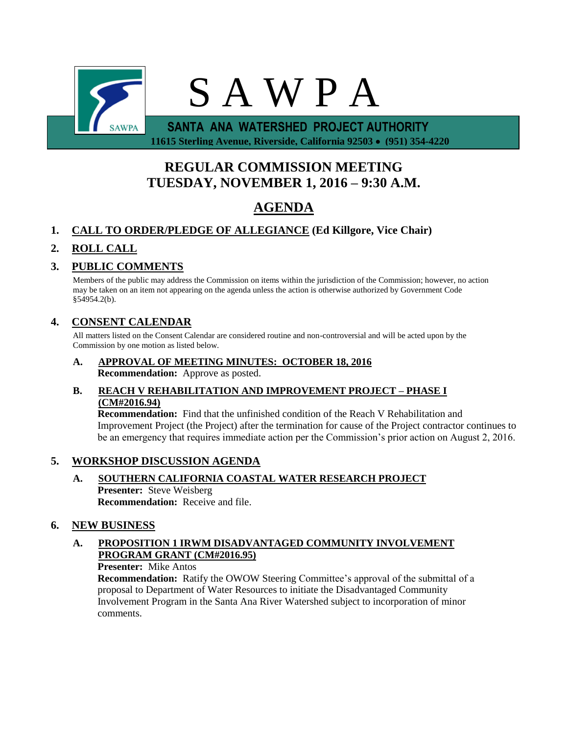

 **11615 Sterling Avenue, Riverside, California 92503 (951) 354-4220**

# **REGULAR COMMISSION MEETING TUESDAY, NOVEMBER 1, 2016 – 9:30 A.M.**

# **AGENDA**

# **1. CALL TO ORDER/PLEDGE OF ALLEGIANCE (Ed Killgore, Vice Chair)**

# **2. ROLL CALL**

# **3. PUBLIC COMMENTS**

Members of the public may address the Commission on items within the jurisdiction of the Commission; however, no action may be taken on an item not appearing on the agenda unless the action is otherwise authorized by Government Code §54954.2(b).

# **4. CONSENT CALENDAR**

All matters listed on the Consent Calendar are considered routine and non-controversial and will be acted upon by the Commission by one motion as listed below.

**A. APPROVAL OF MEETING MINUTES: OCTOBER 18, 2016 Recommendation:** Approve as posted.

### **B. REACH V REHABILITATION AND IMPROVEMENT PROJECT – PHASE I (CM#2016.94)**

**Recommendation:** Find that the unfinished condition of the Reach V Rehabilitation and Improvement Project (the Project) after the termination for cause of the Project contractor continues to be an emergency that requires immediate action per the Commission's prior action on August 2, 2016.

# **5. WORKSHOP DISCUSSION AGENDA**

**A. SOUTHERN CALIFORNIA COASTAL WATER RESEARCH PROJECT Presenter:** Steve Weisberg **Recommendation:** Receive and file.

# **6. NEW BUSINESS**

# **A. PROPOSITION 1 IRWM DISADVANTAGED COMMUNITY INVOLVEMENT PROGRAM GRANT (CM#2016.95)**

**Presenter:** Mike Antos

**Recommendation:** Ratify the OWOW Steering Committee's approval of the submittal of a proposal to Department of Water Resources to initiate the Disadvantaged Community Involvement Program in the Santa Ana River Watershed subject to incorporation of minor comments.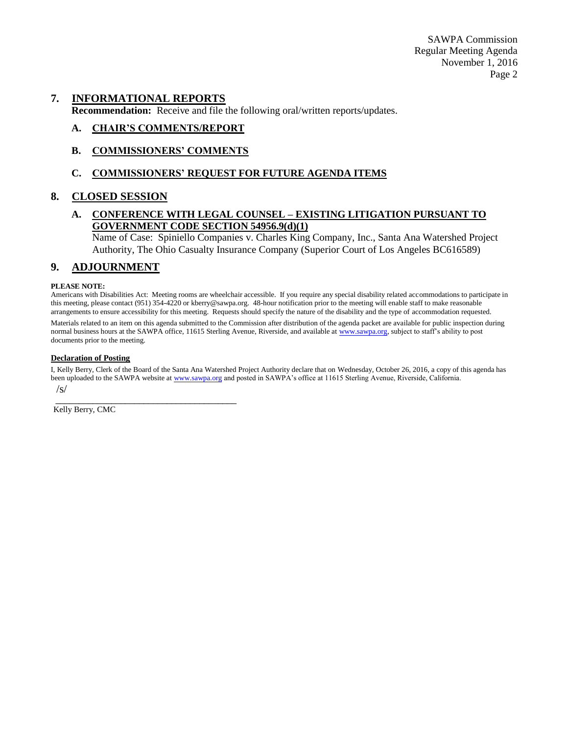SAWPA Commission Regular Meeting Agenda November 1, 2016 Page 2

#### **7. INFORMATIONAL REPORTS**

**Recommendation:** Receive and file the following oral/written reports/updates.

#### **A. CHAIR'S COMMENTS/REPORT**

#### **B. COMMISSIONERS' COMMENTS**

#### **C. COMMISSIONERS' REQUEST FOR FUTURE AGENDA ITEMS**

#### **8. CLOSED SESSION**

#### **A. CONFERENCE WITH LEGAL COUNSEL – EXISTING LITIGATION PURSUANT TO GOVERNMENT CODE SECTION 54956.9(d)(1)**

Name of Case: Spiniello Companies v. Charles King Company, Inc., Santa Ana Watershed Project Authority, The Ohio Casualty Insurance Company (Superior Court of Los Angeles BC616589)

#### **9. ADJOURNMENT**

#### **PLEASE NOTE:**

Americans with Disabilities Act: Meeting rooms are wheelchair accessible. If you require any special disability related accommodations to participate in this meeting, please contact (951) 354-4220 or kberry@sawpa.org. 48-hour notification prior to the meeting will enable staff to make reasonable arrangements to ensure accessibility for this meeting. Requests should specify the nature of the disability and the type of accommodation requested.

Materials related to an item on this agenda submitted to the Commission after distribution of the agenda packet are available for public inspection during normal business hours at the SAWPA office, 11615 Sterling Avenue, Riverside, and available a[t www.sawpa.org,](http://www.sawpa.org/) subject to staff's ability to post documents prior to the meeting.

#### **Declaration of Posting**

I, Kelly Berry, Clerk of the Board of the Santa Ana Watershed Project Authority declare that on Wednesday, October 26, 2016, a copy of this agenda has been uploaded to the SAWPA website a[t www.sawpa.org](http://www.sawpa.org/) and posted in SAWPA's office at 11615 Sterling Avenue, Riverside, California. /s/

\_\_\_\_\_\_\_\_\_\_\_\_\_\_\_\_\_\_\_\_\_\_\_\_\_\_\_\_\_\_\_\_\_\_\_\_\_\_\_ Kelly Berry, CMC